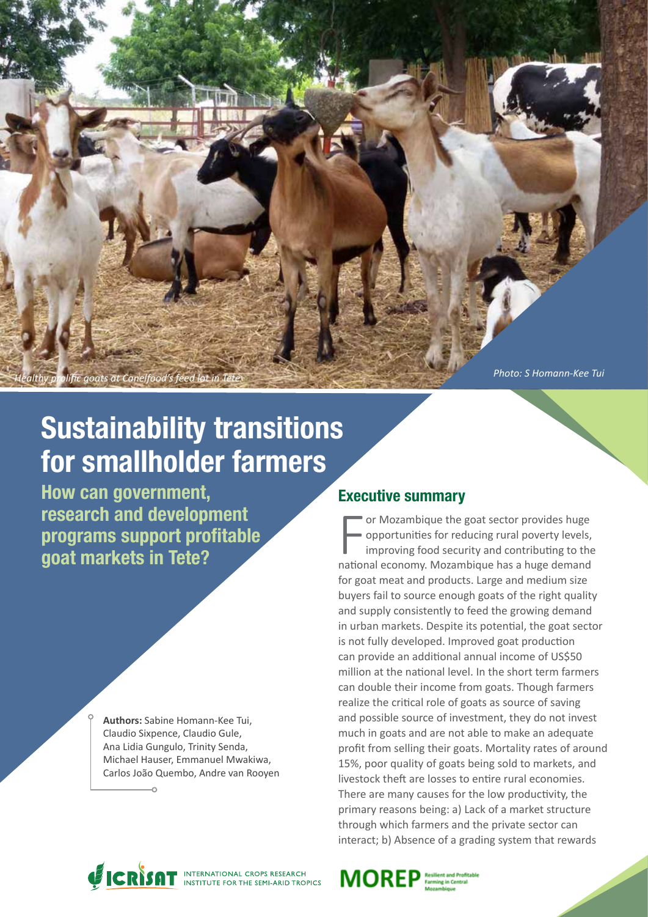

.<br>Ific goats at Canelfood's feed lot in

*Photo: S Homann-Kee Tui*

# Sustainability transitions for smallholder farmers

How can government, research and development programs support profitable goat markets in Tete?

> **Authors:** Sabine Homann-Kee Tui, Claudio Sixpence, Claudio Gule, Ana Lidia Gungulo, Trinity Senda, Michael Hauser, Emmanuel Mwakiwa, Carlos João Quembo, Andre van Rooyen

# Executive summary

For Mozambique the goat sector provides huge<br>opportunities for reducing rural poverty levels,<br>improving food security and contributing to the<br>national economy. Mozambique has a huge demand or Mozambique the goat sector provides huge opportunities for reducing rural poverty levels, improving food security and contributing to the for goat meat and products. Large and medium size buyers fail to source enough goats of the right quality and supply consistently to feed the growing demand in urban markets. Despite its potential, the goat sector is not fully developed. Improved goat production can provide an additional annual income of US\$50 million at the national level. In the short term farmers can double their income from goats. Though farmers realize the critical role of goats as source of saving and possible source of investment, they do not invest much in goats and are not able to make an adequate profit from selling their goats. Mortality rates of around 15%, poor quality of goats being sold to markets, and livestock theft are losses to entire rural economies. There are many causes for the low productivity, the primary reasons being: a) Lack of a market structure through which farmers and the private sector can interact; b) Absence of a grading system that rewards



MOREP Resilient and Profit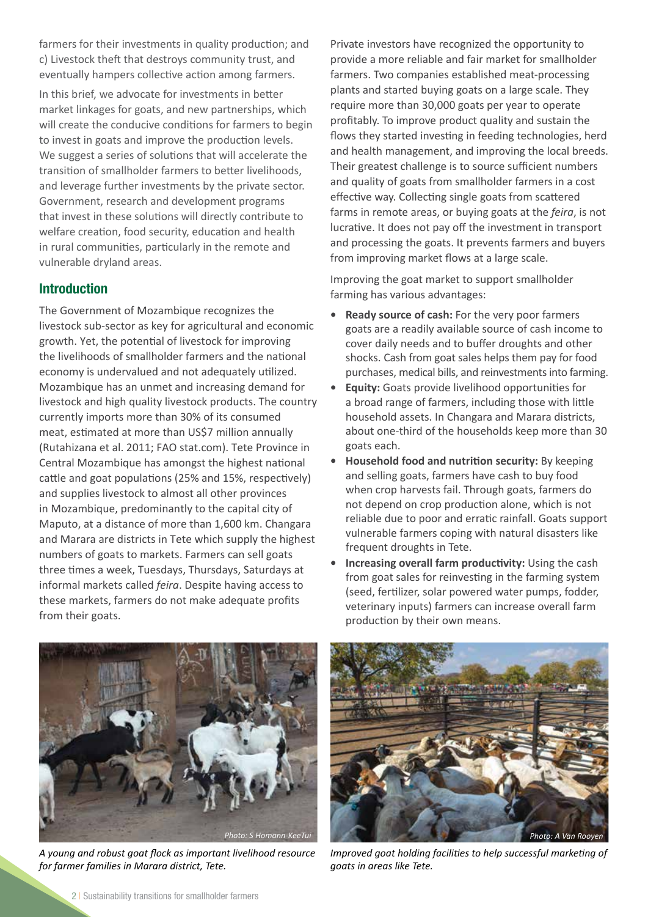farmers for their investments in quality production; and c) Livestock theft that destroys community trust, and eventually hampers collective action among farmers.

In this brief, we advocate for investments in better market linkages for goats, and new partnerships, which will create the conducive conditions for farmers to begin to invest in goats and improve the production levels. We suggest a series of solutions that will accelerate the transition of smallholder farmers to better livelihoods, and leverage further investments by the private sector. Government, research and development programs that invest in these solutions will directly contribute to welfare creation, food security, education and health in rural communities, particularly in the remote and vulnerable dryland areas.

# Introduction

The Government of Mozambique recognizes the livestock sub-sector as key for agricultural and economic growth. Yet, the potential of livestock for improving the livelihoods of smallholder farmers and the national economy is undervalued and not adequately utilized. Mozambique has an unmet and increasing demand for livestock and high quality livestock products. The country currently imports more than 30% of its consumed meat, estimated at more than US\$7 million annually (Rutahizana et al. 2011; FAO stat.com). Tete Province in Central Mozambique has amongst the highest national cattle and goat populations (25% and 15%, respectively) and supplies livestock to almost all other provinces in Mozambique, predominantly to the capital city of Maputo, at a distance of more than 1,600 km. Changara and Marara are districts in Tete which supply the highest numbers of goats to markets. Farmers can sell goats three times a week, Tuesdays, Thursdays, Saturdays at informal markets called *feira*. Despite having access to these markets, farmers do not make adequate profits from their goats.

Private investors have recognized the opportunity to provide a more reliable and fair market for smallholder farmers. Two companies established meat-processing plants and started buying goats on a large scale. They require more than 30,000 goats per year to operate profitably. To improve product quality and sustain the flows they started investing in feeding technologies, herd and health management, and improving the local breeds. Their greatest challenge is to source sufficient numbers and quality of goats from smallholder farmers in a cost effective way. Collecting single goats from scattered farms in remote areas, or buying goats at the *feira*, is not lucrative. It does not pay off the investment in transport and processing the goats. It prevents farmers and buyers from improving market flows at a large scale.

Improving the goat market to support smallholder farming has various advantages:

- **• Ready source of cash:** For the very poor farmers goats are a readily available source of cash income to cover daily needs and to buffer droughts and other shocks. Cash from goat sales helps them pay for food purchases, medical bills, and reinvestments into farming.
- **• Equity:** Goats provide livelihood opportunities for a broad range of farmers, including those with little household assets. In Changara and Marara districts, about one-third of the households keep more than 30 goats each.
- **• Household food and nutrition security:** By keeping and selling goats, farmers have cash to buy food when crop harvests fail. Through goats, farmers do not depend on crop production alone, which is not reliable due to poor and erratic rainfall. Goats support vulnerable farmers coping with natural disasters like frequent droughts in Tete.
- **• Increasing overall farm productivity:** Using the cash from goat sales for reinvesting in the farming system (seed, fertilizer, solar powered water pumps, fodder, veterinary inputs) farmers can increase overall farm production by their own means.



*A young and robust goat flock as important livelihood resource for farmer families in Marara district, Tete.*



*Improved goat holding facilities to help successful marketing of goats in areas like Tete.*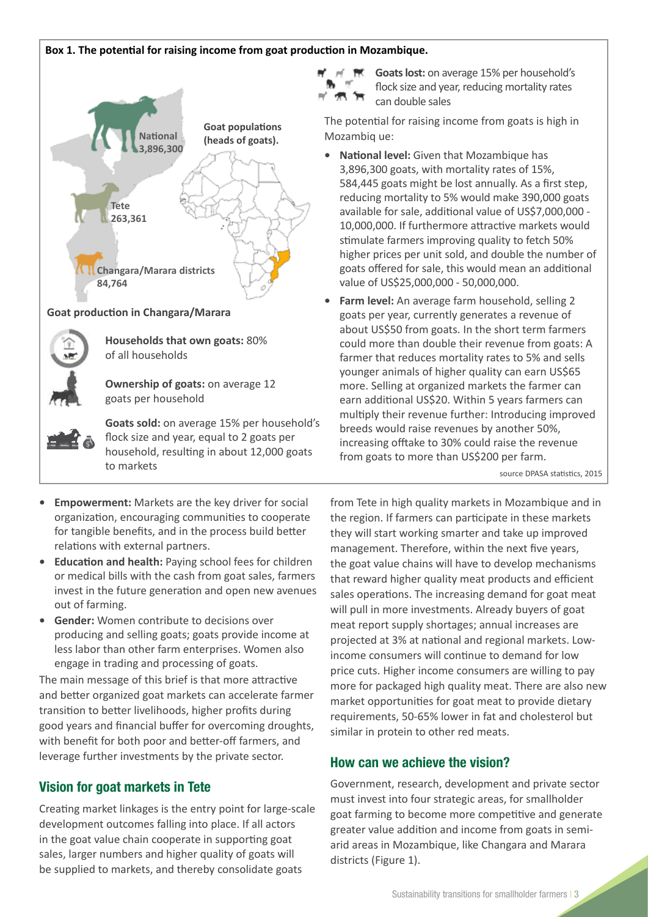## **Box 1. The potential for raising income from goat production in Mozambique.**



#### **Goat production in Changara/Marara**



**Households that own goats:** 80% of all households

**Ownership of goats:** on average 12 goats per household

**Goats sold:** on average 15% per household's flock size and year, equal to 2 goats per household, resulting in about 12,000 goats to markets

**Goats lost:** on average 15% per household's flock size and year, reducing mortality rates can double sales

The potential for raising income from goats is high in Mozambiq ue:

- **• National level:** Given that Mozambique has 3,896,300 goats, with mortality rates of 15%, 584,445 goats might be lost annually. As a first step, reducing mortality to 5% would make 390,000 goats available for sale, additional value of US\$7,000,000 - 10,000,000. If furthermore attractive markets would stimulate farmers improving quality to fetch 50% higher prices per unit sold, and double the number of goats offered for sale, this would mean an additional value of US\$25,000,000 - 50,000,000.
- **• Farm level:** An average farm household, selling 2 goats per year, currently generates a revenue of about US\$50 from goats. In the short term farmers could more than double their revenue from goats: A farmer that reduces mortality rates to 5% and sells younger animals of higher quality can earn US\$65 more. Selling at organized markets the farmer can earn additional US\$20. Within 5 years farmers can multiply their revenue further: Introducing improved breeds would raise revenues by another 50%, increasing offtake to 30% could raise the revenue from goats to more than US\$200 per farm.

source DPASA statistics, 2015

- **• Empowerment:** Markets are the key driver for social organization, encouraging communities to cooperate for tangible benefits, and in the process build better relations with external partners.
- **• Education and health:** Paying school fees for children or medical bills with the cash from goat sales, farmers invest in the future generation and open new avenues out of farming.
- **• Gender:** Women contribute to decisions over producing and selling goats; goats provide income at less labor than other farm enterprises. Women also engage in trading and processing of goats.

The main message of this brief is that more attractive and better organized goat markets can accelerate farmer transition to better livelihoods, higher profits during good years and financial buffer for overcoming droughts, with benefit for both poor and better-off farmers, and leverage further investments by the private sector.

# Vision for goat markets in Tete

Creating market linkages is the entry point for large-scale development outcomes falling into place. If all actors in the goat value chain cooperate in supporting goat sales, larger numbers and higher quality of goats will be supplied to markets, and thereby consolidate goats

from Tete in high quality markets in Mozambique and in the region. If farmers can participate in these markets they will start working smarter and take up improved management. Therefore, within the next five years, the goat value chains will have to develop mechanisms that reward higher quality meat products and efficient sales operations. The increasing demand for goat meat will pull in more investments. Already buyers of goat meat report supply shortages; annual increases are projected at 3% at national and regional markets. Lowincome consumers will continue to demand for low price cuts. Higher income consumers are willing to pay more for packaged high quality meat. There are also new market opportunities for goat meat to provide dietary requirements, 50-65% lower in fat and cholesterol but similar in protein to other red meats.

# How can we achieve the vision?

Government, research, development and private sector must invest into four strategic areas, for smallholder goat farming to become more competitive and generate greater value addition and income from goats in semiarid areas in Mozambique, like Changara and Marara districts (Figure 1).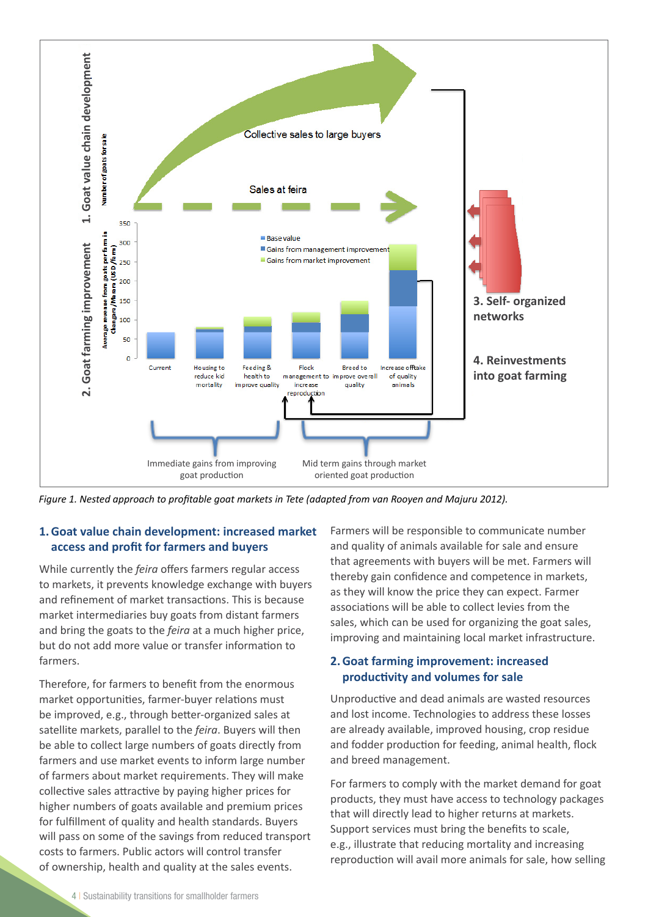

*Figure 1. Nested approach to profitable goat markets in Tete (adapted from van Rooyen and Majuru 2012).*

# **1.Goat value chain development: increased market access and profit for farmers and buyers**

While currently the *feira* offers farmers regular access to markets, it prevents knowledge exchange with buyers and refinement of market transactions. This is because market intermediaries buy goats from distant farmers and bring the goats to the *feira* at a much higher price, but do not add more value or transfer information to farmers.

Therefore, for farmers to benefit from the enormous market opportunities, farmer-buyer relations must be improved, e.g., through better-organized sales at satellite markets, parallel to the *feira*. Buyers will then be able to collect large numbers of goats directly from farmers and use market events to inform large number of farmers about market requirements. They will make collective sales attractive by paying higher prices for higher numbers of goats available and premium prices for fulfillment of quality and health standards. Buyers will pass on some of the savings from reduced transport costs to farmers. Public actors will control transfer of ownership, health and quality at the sales events.

Farmers will be responsible to communicate number and quality of animals available for sale and ensure that agreements with buyers will be met. Farmers will thereby gain confidence and competence in markets, as they will know the price they can expect. Farmer associations will be able to collect levies from the sales, which can be used for organizing the goat sales, improving and maintaining local market infrastructure.

# **2.Goat farming improvement: increased productivity and volumes for sale**

Unproductive and dead animals are wasted resources and lost income. Technologies to address these losses are already available, improved housing, crop residue and fodder production for feeding, animal health, flock and breed management.

For farmers to comply with the market demand for goat products, they must have access to technology packages that will directly lead to higher returns at markets. Support services must bring the benefits to scale, e.g., illustrate that reducing mortality and increasing reproduction will avail more animals for sale, how selling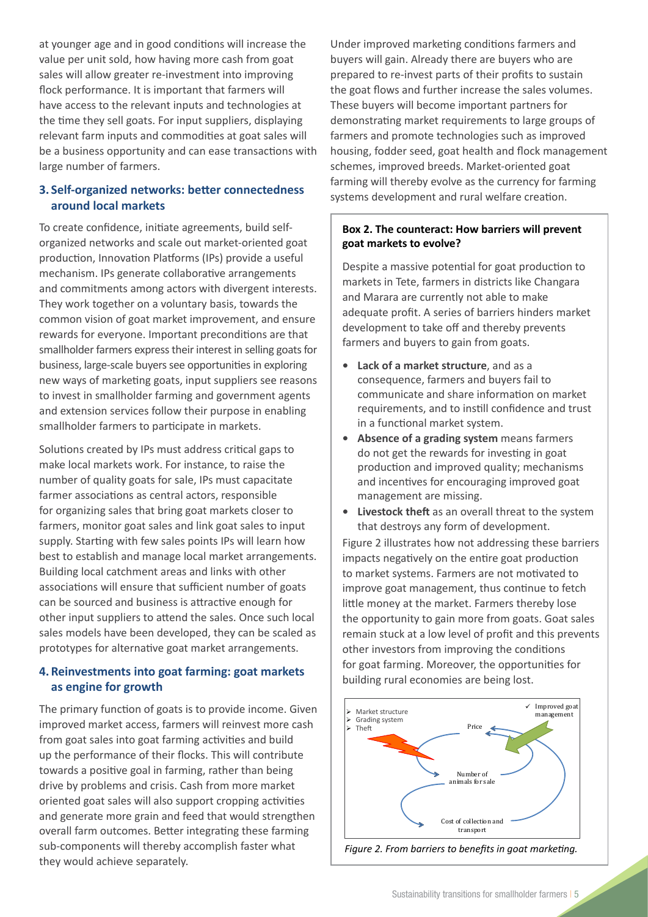at younger age and in good conditions will increase the value per unit sold, how having more cash from goat sales will allow greater re-investment into improving flock performance. It is important that farmers will have access to the relevant inputs and technologies at the time they sell goats. For input suppliers, displaying relevant farm inputs and commodities at goat sales will be a business opportunity and can ease transactions with large number of farmers.

# **3. Self-organized networks: better connectedness around local markets**

To create confidence, initiate agreements, build selforganized networks and scale out market-oriented goat production, Innovation Platforms (IPs) provide a useful mechanism. IPs generate collaborative arrangements and commitments among actors with divergent interests. They work together on a voluntary basis, towards the common vision of goat market improvement, and ensure rewards for everyone. Important preconditions are that smallholder farmers express their interest in selling goats for business, large-scale buyers see opportunities in exploring new ways of marketing goats, input suppliers see reasons to invest in smallholder farming and government agents and extension services follow their purpose in enabling smallholder farmers to participate in markets.

Solutions created by IPs must address critical gaps to make local markets work. For instance, to raise the number of quality goats for sale, IPs must capacitate farmer associations as central actors, responsible for organizing sales that bring goat markets closer to farmers, monitor goat sales and link goat sales to input supply. Starting with few sales points IPs will learn how best to establish and manage local market arrangements. Building local catchment areas and links with other associations will ensure that sufficient number of goats can be sourced and business is attractive enough for other input suppliers to attend the sales. Once such local sales models have been developed, they can be scaled as prototypes for alternative goat market arrangements.

# **4. Reinvestments into goat farming: goat markets as engine for growth**

The primary function of goats is to provide income. Given improved market access, farmers will reinvest more cash from goat sales into goat farming activities and build up the performance of their flocks. This will contribute towards a positive goal in farming, rather than being drive by problems and crisis. Cash from more market oriented goat sales will also support cropping activities and generate more grain and feed that would strengthen overall farm outcomes. Better integrating these farming sub-components will thereby accomplish faster what they would achieve separately.

Under improved marketing conditions farmers and buyers will gain. Already there are buyers who are prepared to re-invest parts of their profits to sustain the goat flows and further increase the sales volumes. These buyers will become important partners for demonstrating market requirements to large groups of farmers and promote technologies such as improved housing, fodder seed, goat health and flock management schemes, improved breeds. Market-oriented goat farming will thereby evolve as the currency for farming systems development and rural welfare creation.

# **Box 2. The counteract: How barriers will prevent goat markets to evolve?**

Despite a massive potential for goat production to markets in Tete, farmers in districts like Changara and Marara are currently not able to make adequate profit. A series of barriers hinders market development to take off and thereby prevents farmers and buyers to gain from goats.

- **• Lack of a market structure**, and as a consequence, farmers and buyers fail to communicate and share information on market requirements, and to instill confidence and trust in a functional market system.
- **• Absence of a grading system** means farmers do not get the rewards for investing in goat production and improved quality; mechanisms and incentives for encouraging improved goat management are missing.
- **• Livestock theft** as an overall threat to the system that destroys any form of development.

Figure 2 illustrates how not addressing these barriers impacts negatively on the entire goat production to market systems. Farmers are not motivated to improve goat management, thus continue to fetch little money at the market. Farmers thereby lose the opportunity to gain more from goats. Goat sales remain stuck at a low level of profit and this prevents other investors from improving the conditions for goat farming. Moreover, the opportunities for building rural economies are being lost.



*Figure 2. From barriers to benefits in goat marketing.*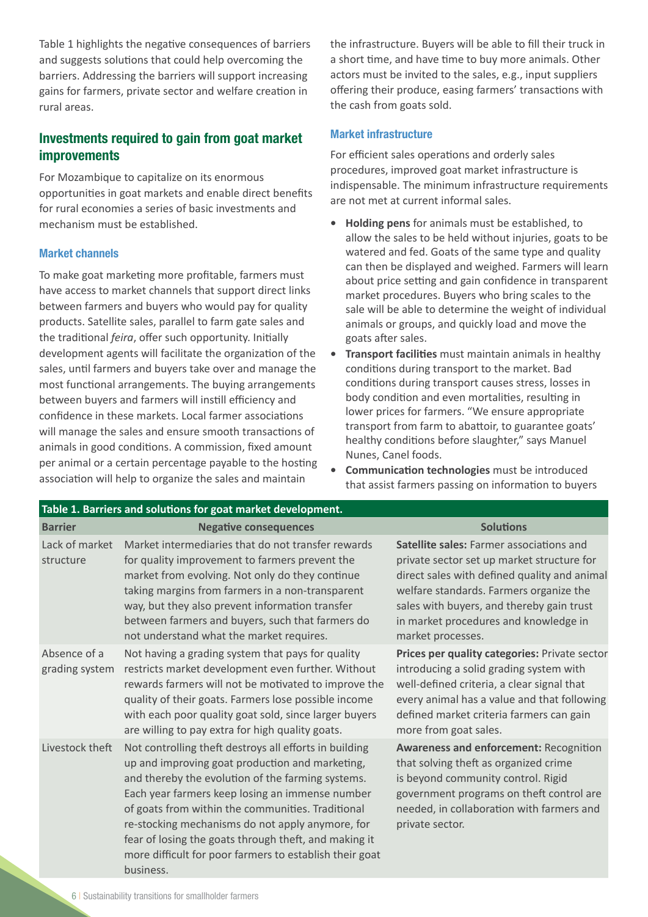Table 1 highlights the negative consequences of barriers and suggests solutions that could help overcoming the barriers. Addressing the barriers will support increasing gains for farmers, private sector and welfare creation in rural areas.

# Investments required to gain from goat market improvements

For Mozambique to capitalize on its enormous opportunities in goat markets and enable direct benefits for rural economies a series of basic investments and mechanism must be established.

#### Market channels

To make goat marketing more profitable, farmers must have access to market channels that support direct links between farmers and buyers who would pay for quality products. Satellite sales, parallel to farm gate sales and the traditional *feira*, offer such opportunity. Initially development agents will facilitate the organization of the sales, until farmers and buyers take over and manage the most functional arrangements. The buying arrangements between buyers and farmers will instill efficiency and confidence in these markets. Local farmer associations will manage the sales and ensure smooth transactions of animals in good conditions. A commission, fixed amount per animal or a certain percentage payable to the hosting association will help to organize the sales and maintain

the infrastructure. Buyers will be able to fill their truck in a short time, and have time to buy more animals. Other actors must be invited to the sales, e.g., input suppliers offering their produce, easing farmers' transactions with the cash from goats sold.

#### Market infrastructure

For efficient sales operations and orderly sales procedures, improved goat market infrastructure is indispensable. The minimum infrastructure requirements are not met at current informal sales.

- **• Holding pens** for animals must be established, to allow the sales to be held without injuries, goats to be watered and fed. Goats of the same type and quality can then be displayed and weighed. Farmers will learn about price setting and gain confidence in transparent market procedures. Buyers who bring scales to the sale will be able to determine the weight of individual animals or groups, and quickly load and move the goats after sales.
- **• Transport facilities** must maintain animals in healthy conditions during transport to the market. Bad conditions during transport causes stress, losses in body condition and even mortalities, resulting in lower prices for farmers. "We ensure appropriate transport from farm to abattoir, to guarantee goats' healthy conditions before slaughter," says Manuel Nunes, Canel foods.
- **• Communication technologies** must be introduced that assist farmers passing on information to buyers

| Table 1. Barriers and solutions for goat market development. |                                                                                                                                                                                                                                                                                                                                                                                                                                                             |                                                                                                                                                                                                                                                                                              |  |  |  |  |
|--------------------------------------------------------------|-------------------------------------------------------------------------------------------------------------------------------------------------------------------------------------------------------------------------------------------------------------------------------------------------------------------------------------------------------------------------------------------------------------------------------------------------------------|----------------------------------------------------------------------------------------------------------------------------------------------------------------------------------------------------------------------------------------------------------------------------------------------|--|--|--|--|
| <b>Barrier</b>                                               | <b>Negative consequences</b>                                                                                                                                                                                                                                                                                                                                                                                                                                | <b>Solutions</b>                                                                                                                                                                                                                                                                             |  |  |  |  |
| Lack of market<br>structure                                  | Market intermediaries that do not transfer rewards<br>for quality improvement to farmers prevent the<br>market from evolving. Not only do they continue<br>taking margins from farmers in a non-transparent<br>way, but they also prevent information transfer<br>between farmers and buyers, such that farmers do<br>not understand what the market requires.                                                                                              | Satellite sales: Farmer associations and<br>private sector set up market structure for<br>direct sales with defined quality and animal<br>welfare standards. Farmers organize the<br>sales with buyers, and thereby gain trust<br>in market procedures and knowledge in<br>market processes. |  |  |  |  |
| Absence of a<br>grading system                               | Not having a grading system that pays for quality<br>restricts market development even further. Without<br>rewards farmers will not be motivated to improve the<br>quality of their goats. Farmers lose possible income<br>with each poor quality goat sold, since larger buyers<br>are willing to pay extra for high quality goats.                                                                                                                        | Prices per quality categories: Private sector<br>introducing a solid grading system with<br>well-defined criteria, a clear signal that<br>every animal has a value and that following<br>defined market criteria farmers can gain<br>more from goat sales.                                   |  |  |  |  |
| Livestock theft                                              | Not controlling theft destroys all efforts in building<br>up and improving goat production and marketing,<br>and thereby the evolution of the farming systems.<br>Each year farmers keep losing an immense number<br>of goats from within the communities. Traditional<br>re-stocking mechanisms do not apply anymore, for<br>fear of losing the goats through theft, and making it<br>more difficult for poor farmers to establish their goat<br>business. | <b>Awareness and enforcement: Recognition</b><br>that solving theft as organized crime<br>is beyond community control. Rigid<br>government programs on theft control are<br>needed, in collaboration with farmers and<br>private sector.                                                     |  |  |  |  |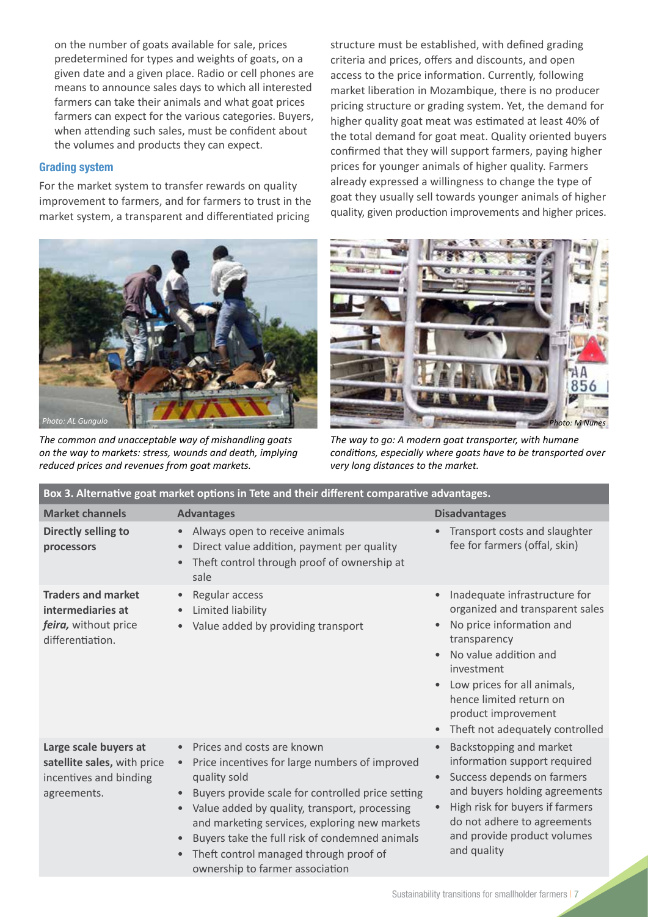on the number of goats available for sale, prices predetermined for types and weights of goats, on a given date and a given place. Radio or cell phones are means to announce sales days to which all interested farmers can take their animals and what goat prices farmers can expect for the various categories. Buyers, when attending such sales, must be confident about the volumes and products they can expect.

## Grading system

For the market system to transfer rewards on quality improvement to farmers, and for farmers to trust in the market system, a transparent and differentiated pricing



*The common and unacceptable way of mishandling goats on the way to markets: stress, wounds and death, implying reduced prices and revenues from goat markets.* 

structure must be established, with defined grading criteria and prices, offers and discounts, and open access to the price information. Currently, following market liberation in Mozambique, there is no producer pricing structure or grading system. Yet, the demand for higher quality goat meat was estimated at least 40% of the total demand for goat meat. Quality oriented buyers confirmed that they will support farmers, paying higher prices for younger animals of higher quality. Farmers already expressed a willingness to change the type of goat they usually sell towards younger animals of higher quality, given production improvements and higher prices.



*The way to go: A modern goat transporter, with humane conditions, especially where goats have to be transported over very long distances to the market.*

| Box 3. Alternative goat market options in Tete and their different comparative advantages.    |                                                                                                                                                                                                                                                                                                                                                                                                                             |                                                                                                                                                                                                                                                                                                                                          |  |  |  |  |
|-----------------------------------------------------------------------------------------------|-----------------------------------------------------------------------------------------------------------------------------------------------------------------------------------------------------------------------------------------------------------------------------------------------------------------------------------------------------------------------------------------------------------------------------|------------------------------------------------------------------------------------------------------------------------------------------------------------------------------------------------------------------------------------------------------------------------------------------------------------------------------------------|--|--|--|--|
| <b>Market channels</b>                                                                        | <b>Advantages</b>                                                                                                                                                                                                                                                                                                                                                                                                           | <b>Disadvantages</b>                                                                                                                                                                                                                                                                                                                     |  |  |  |  |
| Directly selling to<br>processors                                                             | Always open to receive animals<br>$\bullet$<br>Direct value addition, payment per quality<br>$\bullet$<br>Theft control through proof of ownership at<br>$\bullet$<br>sale                                                                                                                                                                                                                                                  | Transport costs and slaughter<br>$\bullet$<br>fee for farmers (offal, skin)                                                                                                                                                                                                                                                              |  |  |  |  |
| <b>Traders and market</b><br>intermediaries at<br>feira, without price<br>differentiation.    | Regular access<br>$\bullet$<br>Limited liability<br>Value added by providing transport                                                                                                                                                                                                                                                                                                                                      | Inadequate infrastructure for<br>$\bullet$<br>organized and transparent sales<br>No price information and<br>$\bullet$<br>transparency<br>No value addition and<br>$\bullet$<br>investment<br>Low prices for all animals,<br>$\bullet$<br>hence limited return on<br>product improvement<br>Theft not adequately controlled<br>$\bullet$ |  |  |  |  |
| Large scale buyers at<br>satellite sales, with price<br>incentives and binding<br>agreements. | • Prices and costs are known<br>Price incentives for large numbers of improved<br>$\bullet$<br>quality sold<br>Buyers provide scale for controlled price setting<br>Value added by quality, transport, processing<br>$\bullet$<br>and marketing services, exploring new markets<br>Buyers take the full risk of condemned animals<br>$\bullet$<br>Theft control managed through proof of<br>ownership to farmer association | Backstopping and market<br>$\bullet$<br>information support required<br>Success depends on farmers<br>and buyers holding agreements<br>High risk for buyers if farmers<br>do not adhere to agreements<br>and provide product volumes<br>and quality                                                                                      |  |  |  |  |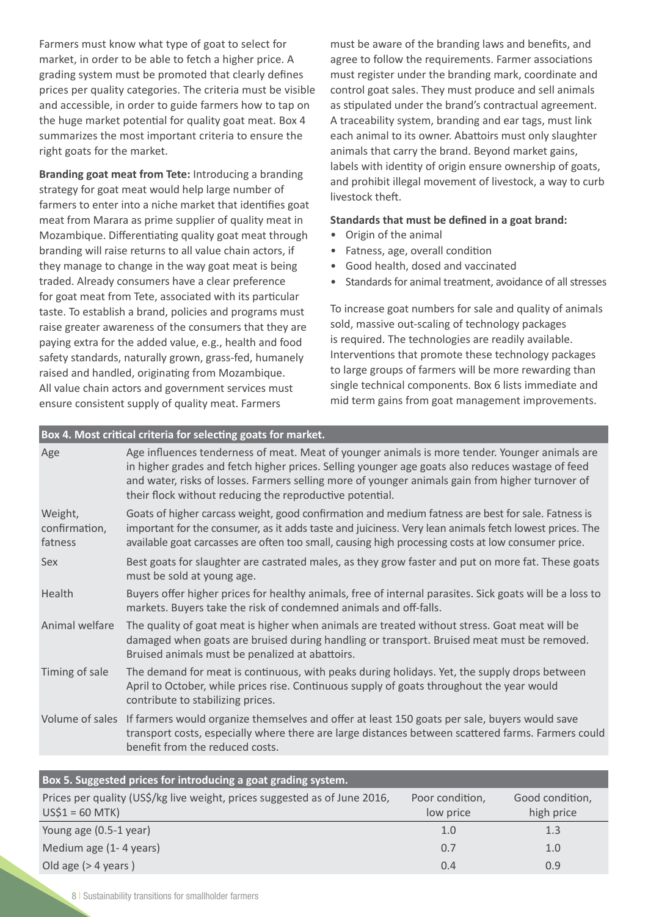Farmers must know what type of goat to select for market, in order to be able to fetch a higher price. A grading system must be promoted that clearly defines prices per quality categories. The criteria must be visible and accessible, in order to guide farmers how to tap on the huge market potential for quality goat meat. Box 4 summarizes the most important criteria to ensure the right goats for the market.

**Branding goat meat from Tete:** Introducing a branding strategy for goat meat would help large number of farmers to enter into a niche market that identifies goat meat from Marara as prime supplier of quality meat in Mozambique. Differentiating quality goat meat through branding will raise returns to all value chain actors, if they manage to change in the way goat meat is being traded. Already consumers have a clear preference for goat meat from Tete, associated with its particular taste. To establish a brand, policies and programs must raise greater awareness of the consumers that they are paying extra for the added value, e.g., health and food safety standards, naturally grown, grass-fed, humanely raised and handled, originating from Mozambique. All value chain actors and government services must ensure consistent supply of quality meat. Farmers

**Box 4. Most critical criteria for selecting goats for market.**

must be aware of the branding laws and benefits, and agree to follow the requirements. Farmer associations must register under the branding mark, coordinate and control goat sales. They must produce and sell animals as stipulated under the brand's contractual agreement. A traceability system, branding and ear tags, must link each animal to its owner. Abattoirs must only slaughter animals that carry the brand. Beyond market gains, labels with identity of origin ensure ownership of goats, and prohibit illegal movement of livestock, a way to curb livestock theft.

#### **Standards that must be defined in a goat brand:**

- Origin of the animal
- Fatness, age, overall condition
- Good health, dosed and vaccinated
- Standards for animal treatment, avoidance of all stresses

To increase goat numbers for sale and quality of animals sold, massive out-scaling of technology packages is required. The technologies are readily available. Interventions that promote these technology packages to large groups of farmers will be more rewarding than single technical components. Box 6 lists immediate and mid term gains from goat management improvements.

|                                     | <b>T</b> box 4. MOSt critical criteria for selecting goats for market.                                                                                                                                                                                                                                                                                             |
|-------------------------------------|--------------------------------------------------------------------------------------------------------------------------------------------------------------------------------------------------------------------------------------------------------------------------------------------------------------------------------------------------------------------|
| Age                                 | Age influences tenderness of meat. Meat of younger animals is more tender. Younger animals are<br>in higher grades and fetch higher prices. Selling younger age goats also reduces wastage of feed<br>and water, risks of losses. Farmers selling more of younger animals gain from higher turnover of<br>their flock without reducing the reproductive potential. |
| Weight,<br>confirmation,<br>fatness | Goats of higher carcass weight, good confirmation and medium fatness are best for sale. Fatness is<br>important for the consumer, as it adds taste and juiciness. Very lean animals fetch lowest prices. The<br>available goat carcasses are often too small, causing high processing costs at low consumer price.                                                 |
| Sex                                 | Best goats for slaughter are castrated males, as they grow faster and put on more fat. These goats<br>must be sold at young age.                                                                                                                                                                                                                                   |
| Health                              | Buyers offer higher prices for healthy animals, free of internal parasites. Sick goats will be a loss to<br>markets. Buyers take the risk of condemned animals and off-falls.                                                                                                                                                                                      |
| Animal welfare                      | The quality of goat meat is higher when animals are treated without stress. Goat meat will be<br>damaged when goats are bruised during handling or transport. Bruised meat must be removed.<br>Bruised animals must be penalized at abattoirs.                                                                                                                     |
| Timing of sale                      | The demand for meat is continuous, with peaks during holidays. Yet, the supply drops between<br>April to October, while prices rise. Continuous supply of goats throughout the year would<br>contribute to stabilizing prices.                                                                                                                                     |
| Volume of sales                     | If farmers would organize themselves and offer at least 150 goats per sale, buyers would save<br>transport costs, especially where there are large distances between scattered farms. Farmers could<br>benefit from the reduced costs.                                                                                                                             |
|                                     |                                                                                                                                                                                                                                                                                                                                                                    |

| Box 5. Suggested prices for introducing a goat grading system.                                 |                              |                               |  |  |  |
|------------------------------------------------------------------------------------------------|------------------------------|-------------------------------|--|--|--|
| Prices per quality (US\$/kg live weight, prices suggested as of June 2016,<br>$US$1 = 60$ MTK) | Poor condition,<br>low price | Good condition,<br>high price |  |  |  |
| Young age (0.5-1 year)                                                                         | 1.0                          | 1.3                           |  |  |  |
| Medium age (1-4 years)                                                                         | 0.7                          | 1.0                           |  |  |  |
| Old age $($ > 4 years $)$                                                                      | 0.4                          | 0.9                           |  |  |  |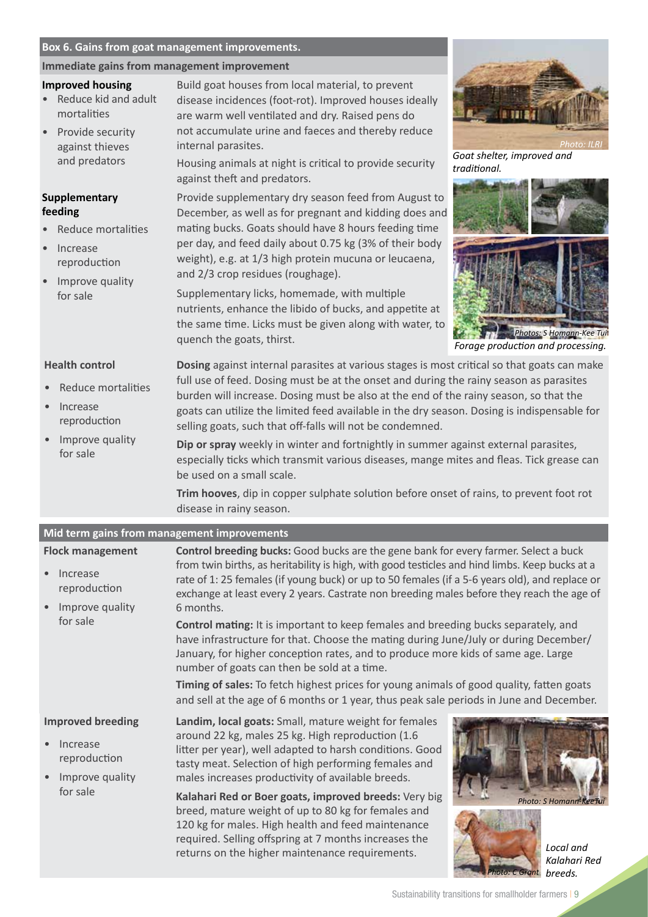#### **Box 6. Gains from goat management improvements.**

#### **Immediate gains from management improvement**

#### **Improved housing**

- Reduce kid and adult mortalities
- Provide security against thieves and predators

#### **Supplementary feeding**

- Reduce mortalities
- Increase reproduction
- Improve quality for sale

Build goat houses from local material, to prevent disease incidences (foot-rot). Improved houses ideally are warm well ventilated and dry. Raised pens do not accumulate urine and faeces and thereby reduce internal parasites.

Housing animals at night is critical to provide security against theft and predators.

Provide supplementary dry season feed from August to December, as well as for pregnant and kidding does and mating bucks. Goats should have 8 hours feeding time per day, and feed daily about 0.75 kg (3% of their body weight), e.g. at 1/3 high protein mucuna or leucaena, and 2/3 crop residues (roughage).

Supplementary licks, homemade, with multiple nutrients, enhance the libido of bucks, and appetite at the same time. Licks must be given along with water, to quench the goats, thirst. *Forage production and processing.*



*Goat shelter, improved and traditional.*



*Photos: S Homann-Kee Tui*

#### **Health control**

- Reduce mortalities
- **Increase** reproduction
- Improve quality for sale

**Dosing** against internal parasites at various stages is most critical so that goats can make full use of feed. Dosing must be at the onset and during the rainy season as parasites burden will increase. Dosing must be also at the end of the rainy season, so that the goats can utilize the limited feed available in the dry season. Dosing is indispensable for selling goats, such that off-falls will not be condemned.

> **Dip or spray** weekly in winter and fortnightly in summer against external parasites, especially ticks which transmit various diseases, mange mites and fleas. Tick grease can be used on a small scale.

**Trim hooves**, dip in copper sulphate solution before onset of rains, to prevent foot rot disease in rainy season.

#### **Improved breeding Increase** reproduction • Improve quality for sale **Landim, local goats:** Small, mature weight for females around 22 kg, males 25 kg. High reproduction (1.6 litter per year), well adapted to harsh conditions. Good tasty meat. Selection of high performing females and males increases productivity of available breeds. **Kalahari Red or Boer goats, improved breeds:** Very big breed, mature weight of up to 80 kg for females and 120 kg for males. High health and feed maintenance required. Selling offspring at 7 months increases the returns on the higher maintenance requirements. *Kalahari Red breeds.* **Mid term gains from management improvements Flock management Increase** reproduction • Improve quality for sale **Control breeding bucks:** Good bucks are the gene bank for every farmer. Select a buck from twin births, as heritability is high, with good testicles and hind limbs. Keep bucks at a rate of 1: 25 females (if young buck) or up to 50 females (if a 5-6 years old), and replace or exchange at least every 2 years. Castrate non breeding males before they reach the age of 6 months. **Control mating:** It is important to keep females and breeding bucks separately, and have infrastructure for that. Choose the mating during June/July or during December/ January, for higher conception rates, and to produce more kids of same age. Large number of goats can then be sold at a time. **Timing of sales:** To fetch highest prices for young animals of good quality, fatten goats and sell at the age of 6 months or 1 year, thus peak sale periods in June and December. **Photo: S Homann-K** *Photo: C Grant*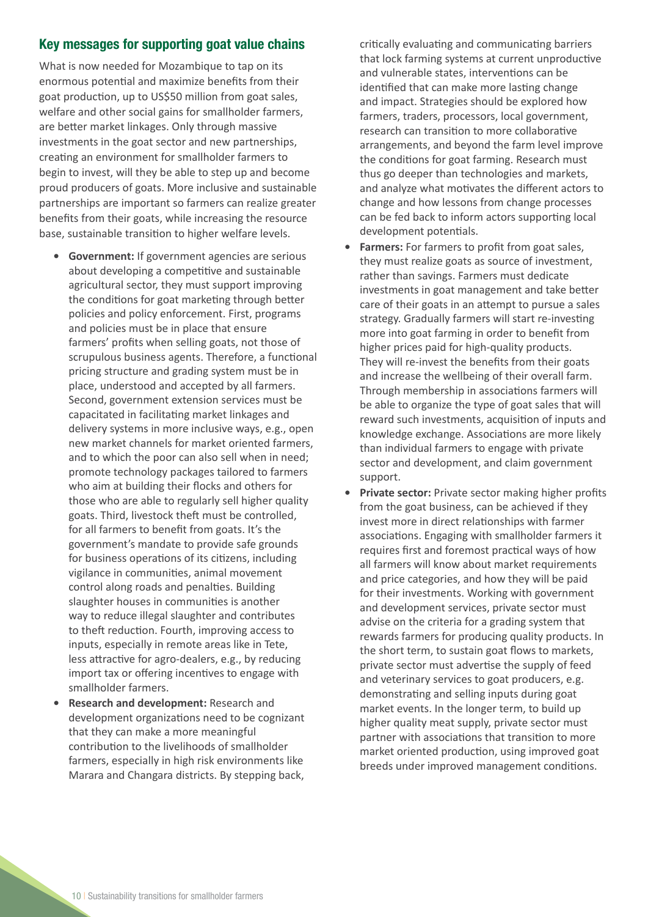# Key messages for supporting goat value chains

What is now needed for Mozambique to tap on its enormous potential and maximize benefits from their goat production, up to US\$50 million from goat sales, welfare and other social gains for smallholder farmers, are better market linkages. Only through massive investments in the goat sector and new partnerships, creating an environment for smallholder farmers to begin to invest, will they be able to step up and become proud producers of goats. More inclusive and sustainable partnerships are important so farmers can realize greater benefits from their goats, while increasing the resource base, sustainable transition to higher welfare levels.

- **• Government:** If government agencies are serious about developing a competitive and sustainable agricultural sector, they must support improving the conditions for goat marketing through better policies and policy enforcement. First, programs and policies must be in place that ensure farmers' profits when selling goats, not those of scrupulous business agents. Therefore, a functional pricing structure and grading system must be in place, understood and accepted by all farmers. Second, government extension services must be capacitated in facilitating market linkages and delivery systems in more inclusive ways, e.g., open new market channels for market oriented farmers, and to which the poor can also sell when in need; promote technology packages tailored to farmers who aim at building their flocks and others for those who are able to regularly sell higher quality goats. Third, livestock theft must be controlled, for all farmers to benefit from goats. It's the government's mandate to provide safe grounds for business operations of its citizens, including vigilance in communities, animal movement control along roads and penalties. Building slaughter houses in communities is another way to reduce illegal slaughter and contributes to theft reduction. Fourth, improving access to inputs, especially in remote areas like in Tete, less attractive for agro-dealers, e.g., by reducing import tax or offering incentives to engage with smallholder farmers.
- **• Research and development:** Research and development organizations need to be cognizant that they can make a more meaningful contribution to the livelihoods of smallholder farmers, especially in high risk environments like Marara and Changara districts. By stepping back,

critically evaluating and communicating barriers that lock farming systems at current unproductive and vulnerable states, interventions can be identified that can make more lasting change and impact. Strategies should be explored how farmers, traders, processors, local government, research can transition to more collaborative arrangements, and beyond the farm level improve the conditions for goat farming. Research must thus go deeper than technologies and markets, and analyze what motivates the different actors to change and how lessons from change processes can be fed back to inform actors supporting local development potentials.

- **• Farmers:** For farmers to profit from goat sales, they must realize goats as source of investment, rather than savings. Farmers must dedicate investments in goat management and take better care of their goats in an attempt to pursue a sales strategy. Gradually farmers will start re-investing more into goat farming in order to benefit from higher prices paid for high-quality products. They will re-invest the benefits from their goats and increase the wellbeing of their overall farm. Through membership in associations farmers will be able to organize the type of goat sales that will reward such investments, acquisition of inputs and knowledge exchange. Associations are more likely than individual farmers to engage with private sector and development, and claim government support.
- **• Private sector:** Private sector making higher profits from the goat business, can be achieved if they invest more in direct relationships with farmer associations. Engaging with smallholder farmers it requires first and foremost practical ways of how all farmers will know about market requirements and price categories, and how they will be paid for their investments. Working with government and development services, private sector must advise on the criteria for a grading system that rewards farmers for producing quality products. In the short term, to sustain goat flows to markets, private sector must advertise the supply of feed and veterinary services to goat producers, e.g. demonstrating and selling inputs during goat market events. In the longer term, to build up higher quality meat supply, private sector must partner with associations that transition to more market oriented production, using improved goat breeds under improved management conditions.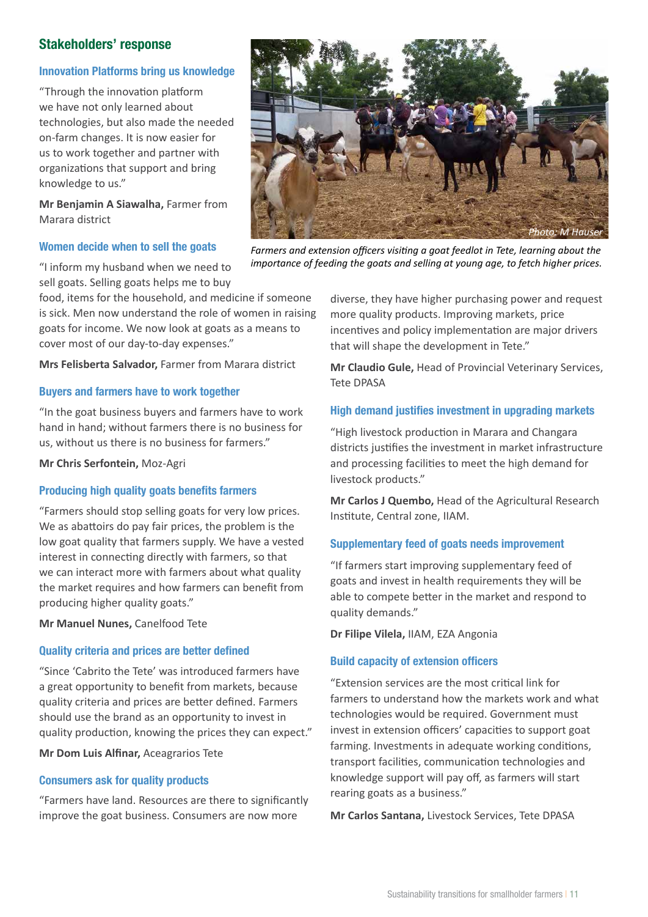# Stakeholders' response

## Innovation Platforms bring us knowledge

"Through the innovation platform we have not only learned about technologies, but also made the needed on-farm changes. It is now easier for us to work together and partner with organizations that support and bring knowledge to us."

**Mr Benjamin A Siawalha,** Farmer from Marara district

#### Women decide when to sell the goats

"I inform my husband when we need to sell goats. Selling goats helps me to buy

food, items for the household, and medicine if someone is sick. Men now understand the role of women in raising goats for income. We now look at goats as a means to cover most of our day-to-day expenses."

**Mrs Felisberta Salvador,** Farmer from Marara district

#### Buyers and farmers have to work together

"In the goat business buyers and farmers have to work hand in hand; without farmers there is no business for us, without us there is no business for farmers."

**Mr Chris Serfontein,** Moz-Agri

#### Producing high quality goats benefits farmers

"Farmers should stop selling goats for very low prices. We as abattoirs do pay fair prices, the problem is the low goat quality that farmers supply. We have a vested interest in connecting directly with farmers, so that we can interact more with farmers about what quality the market requires and how farmers can benefit from producing higher quality goats."

**Mr Manuel Nunes,** Canelfood Tete

#### Quality criteria and prices are better defined

"Since 'Cabrito the Tete' was introduced farmers have a great opportunity to benefit from markets, because quality criteria and prices are better defined. Farmers should use the brand as an opportunity to invest in quality production, knowing the prices they can expect."

**Mr Dom Luis Alfinar,** Aceagrarios Tete

#### Consumers ask for quality products

"Farmers have land. Resources are there to significantly improve the goat business. Consumers are now more



*Farmers and extension officers visiting a goat feedlot in Tete, learning about the importance of feeding the goats and selling at young age, to fetch higher prices.*

diverse, they have higher purchasing power and request more quality products. Improving markets, price incentives and policy implementation are major drivers that will shape the development in Tete."

**Mr Claudio Gule,** Head of Provincial Veterinary Services, Tete DPASA

#### High demand justifies investment in upgrading markets

"High livestock production in Marara and Changara districts justifies the investment in market infrastructure and processing facilities to meet the high demand for livestock products."

**Mr Carlos J Quembo,** Head of the Agricultural Research Institute, Central zone, IIAM.

#### Supplementary feed of goats needs improvement

"If farmers start improving supplementary feed of goats and invest in health requirements they will be able to compete better in the market and respond to quality demands."

**Dr Filipe Vilela,** IIAM, EZA Angonia

#### Build capacity of extension officers

"Extension services are the most critical link for farmers to understand how the markets work and what technologies would be required. Government must invest in extension officers' capacities to support goat farming. Investments in adequate working conditions, transport facilities, communication technologies and knowledge support will pay off, as farmers will start rearing goats as a business."

**Mr Carlos Santana,** Livestock Services, Tete DPASA